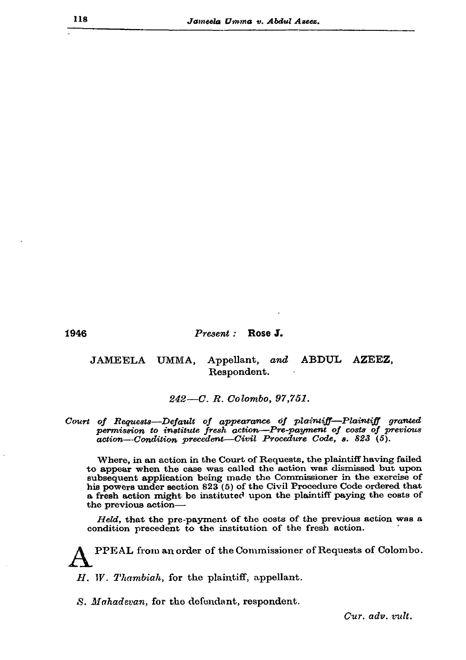1946

## Present : Rose J.

## JAMEELA UMMA. Appellant, and ABDUL AZEEZ, Respondent.

242-C. R. Colombo, 97,751.

Court of Requests-Default of appearance of plaintiff-Plaintiff granted permission to institute fresh action-Pre-payment of costs of previous action-Condition precedent-Civil Procedure Code, s. 823 (5).

Where, in an action in the Court of Requests, the plaintiff having failed to appear when the case was called the action was dismissed but upon subsequent application being made the Commissioner in the exercise of his powers under section 823 (5) of the Civil Procedure Code ordered that a fresh action might be instituted upon the plaintiff paying the costs of the previous action-

Held, that the pre-payment of the costs of the previous action was a condition precedent to the institution of the fresh action.

PPEAL from an order of the Commissioner of Requests of Colombo.

 $H.$  W. Thambiah, for the plaintiff, appellant.

S. Mahadevan, for the defendant, respondent.

Cur. adv. vult.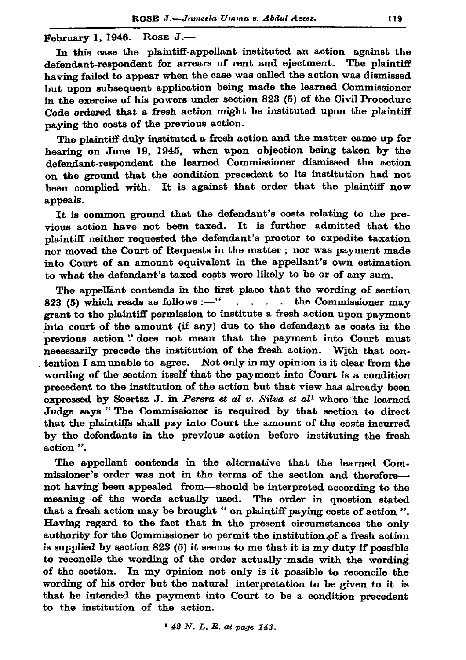February 1, 1946.  $\text{Rose } J$ .

In this case the plaintiff-appellant instituted an action against the defendant-respondent for arrears of rent and ejectment. The plaintiff having failed to appear when the case was called the action was dismissed but upon subsequent application being made the learned Commissioner in the exercise of his powers under section 823 (5) of the Civil Procedure Code ordered that a fresh action might be instituted upon the plaintiff paying the costs of the previous action.

The plaintiff duly instituted a fresh action and the matter came up for hearing on June 19, 1945, when upon objection being taken by the defendant-respondent the learned Commissioner dismissed the action on the ground that the condition precedent to its institution had not been complied with. It is against that order that the plaintiff now appeals.

It is common ground that the defendant's costs relating to the previous action have not been taxed. It is further admitted that the plaintiff neither requested the defendant's proctor to expedite taxation nor moved the Court of Requests in the matter; nor was payment made into Court of an amount equivalent in the appellant's own estimation to what the defendant's taxed costs were likely to be or of any sum.

The appellant contends in the first place that the wording of section 823 (5) which reads as follows :- "  $\cdot$  . . . the Commissioner may grant to the plaintiff permission to institute a fresh action upon payment into court of the amount (if any) due to the defendant as costs in the previous action " does not mean that the payment into Court must necessarily precede the institution of the fresh action. With that contention I am unable to agree. Not only in my opinion is it clear from the wording of the section itself that the payment into Court is a condition precedent to the institution of the action but that view has already been expressed by Soertsz J. in Perera et al v. Silva et al<sup>1</sup> where the learned Judge says "The Commissioner is required by that section to direct that the plaintiffs shall pay into Court the amount of the costs incurred by the defendants in the previous action before instituting the fresh action ".

The appellant contends in the alternative that the learned Commissioner's order was not in the terms of the section and thereforenot having been appealed from—should be interpreted according to the meaning of the words actually used. The order in question stated that a fresh action may be brought " on plaintiff paying costs of action ". Having regard to the fact that in the present circumstances the only authority for the Commissioner to permit the institution of a fresh action is supplied by section  $823(5)$  it seems to me that it is my duty if possible to reconcile the wording of the order actually made with the wording of the section. In my opinion not only is it possible to reconcile the wording of his order but the natural interpretation to be given to it is that he intended the payment into Court to be a condition precedent to the institution of the action.